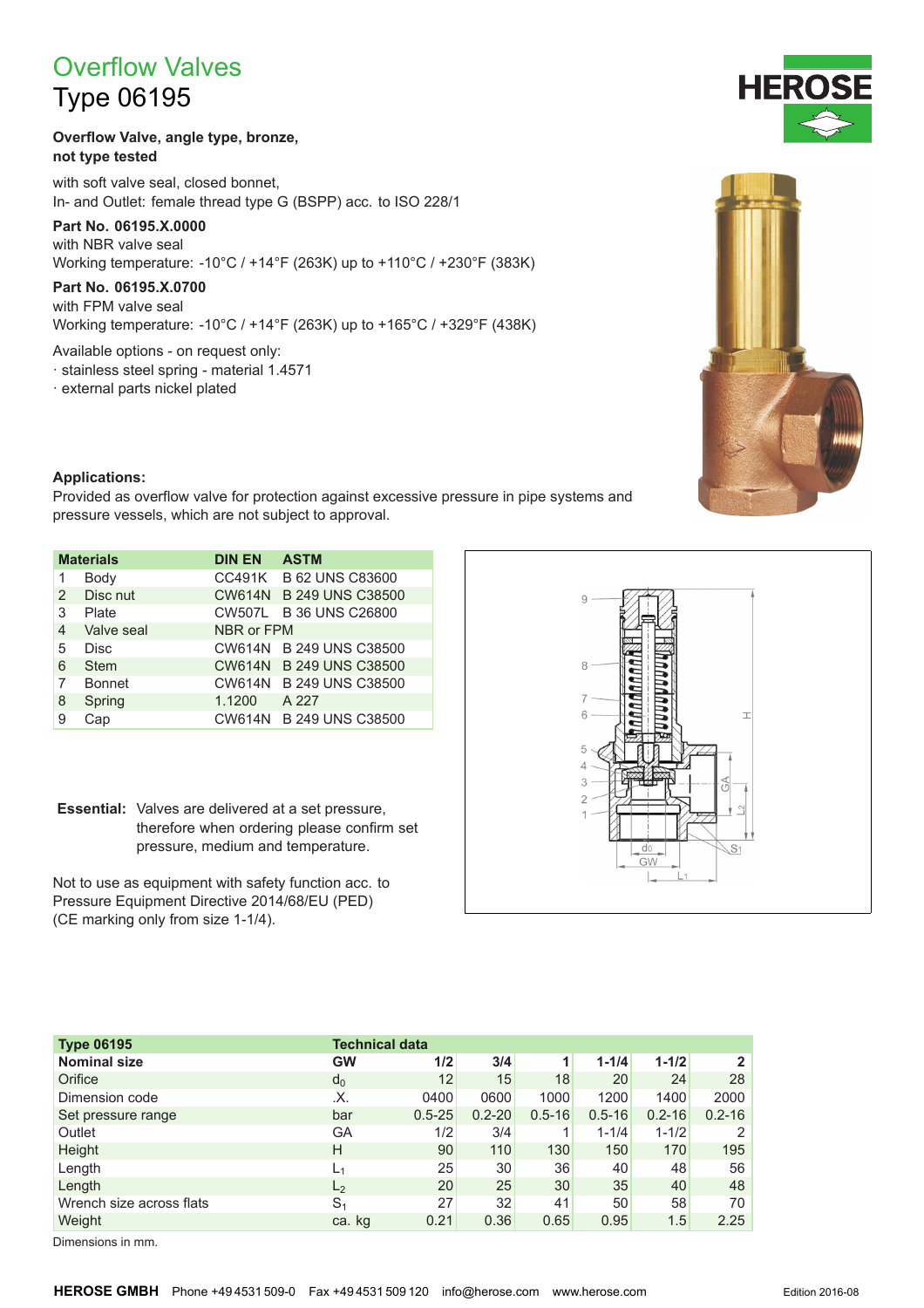# **Overflow Valves**

## **Type 06195**

#### Overflow Valve, angle type, bronze, not type tested

with soft valve seal, closed bonnet, In- and Outlet: female thread type G (BSPP) acc. to ISO 228/1

## Part No. 06195.X.0000

with NBR valve seal Working temperature: -10°C / +14°F (263K) up to +110°C / +230°F (383K)

### Part No. 06195.X.0700

with FPM valve seal Working temperature: -10°C / +14°F (263K) up to +165°C / +329°F (438K)

Available options - on request only:

- · stainless steel spring material 1.4571
- · external parts nickel plated



#### **Applications:**

Provided as overflow valve for protection against excessive pressure in pipe systems and pressure vessels, which are not subject to approval.

| <b>Materials</b> |               | <b>DIN EN</b> | <b>ASTM</b>             |  |  |  |  |  |
|------------------|---------------|---------------|-------------------------|--|--|--|--|--|
| 1                | Body          |               | CC491K B 62 UNS C83600  |  |  |  |  |  |
| 2                | Disc nut      |               | CW614N B 249 UNS C38500 |  |  |  |  |  |
| 3                | Plate         |               | CW507L B 36 UNS C26800  |  |  |  |  |  |
| 4                | Valve seal    | NBR or FPM    |                         |  |  |  |  |  |
| 5                | <b>Disc</b>   |               | CW614N B 249 UNS C38500 |  |  |  |  |  |
| 6                | <b>Stem</b>   |               | CW614N B 249 UNS C38500 |  |  |  |  |  |
| 7                | <b>Bonnet</b> |               | CW614N B 249 UNS C38500 |  |  |  |  |  |
| 8                | Spring        | 1.1200        | A 227                   |  |  |  |  |  |
| 9                | Cap           |               | CW614N B 249 UNS C38500 |  |  |  |  |  |

Essential: Valves are delivered at a set pressure, therefore when ordering please confirm set pressure, medium and temperature.

Not to use as equipment with safety function acc. to Pressure Equipment Directive 2014/68/EU (PED) (CE marking only from size 1-1/4).



| <b>Type 06195</b>        | <b>Technical data</b> |            |            |            |            |            |                |  |  |
|--------------------------|-----------------------|------------|------------|------------|------------|------------|----------------|--|--|
| <b>Nominal size</b>      | <b>GW</b>             | 1/2        | 3/4        | 1          | $1 - 1/4$  | $1 - 1/2$  | $\overline{2}$ |  |  |
| Orifice                  | $d_0$                 | 12         | 15         | 18         | 20         | 24         | 28             |  |  |
| Dimension code           | .Х.                   | 0400       | 0600       | 1000       | 1200       | 1400       | 2000           |  |  |
| Set pressure range       | bar                   | $0.5 - 25$ | $0.2 - 20$ | $0.5 - 16$ | $0.5 - 16$ | $0.2 - 16$ | $0.2 - 16$     |  |  |
| Outlet                   | GА                    | 1/2        | 3/4        |            | $1 - 1/4$  | $1 - 1/2$  | 2              |  |  |
| Height                   | H                     | 90         | 110        | 130        | 150        | 170        | 195            |  |  |
| Length                   | $L_1$                 | 25         | 30         | 36         | 40         | 48         | 56             |  |  |
| Length                   | L <sub>2</sub>        | 20         | 25         | 30         | 35         | 40         | 48             |  |  |
| Wrench size across flats | S <sub>1</sub>        | 27         | 32         | 41         | 50         | 58         | 70             |  |  |
| Weight                   | ca. kg                | 0.21       | 0.36       | 0.65       | 0.95       | 1.5        | 2.25           |  |  |

Dimensions in mm.